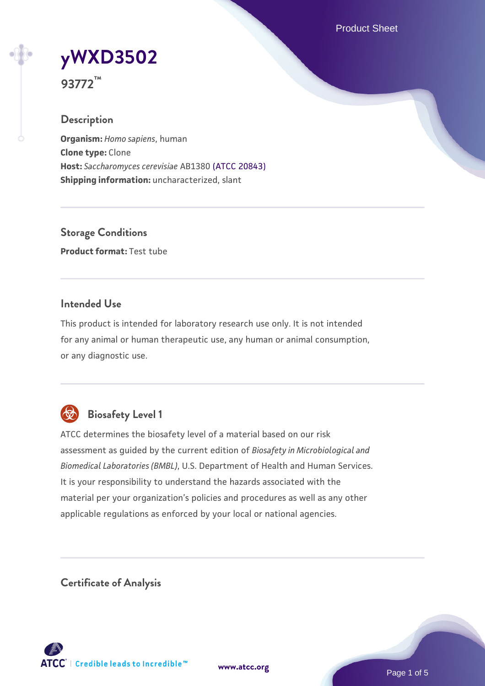Product Sheet



**93772™**

# **Description**

**Organism:** *Homo sapiens*, human **Clone type:** Clone **Host:** *Saccharomyces cerevisiae* AB1380 [\(ATCC 20843\)](https://www.atcc.org/products/20843) **Shipping information:** uncharacterized, slant

**Storage Conditions Product format:** Test tube

## **Intended Use**

This product is intended for laboratory research use only. It is not intended for any animal or human therapeutic use, any human or animal consumption, or any diagnostic use.



# **Biosafety Level 1**

ATCC determines the biosafety level of a material based on our risk assessment as guided by the current edition of *Biosafety in Microbiological and Biomedical Laboratories (BMBL)*, U.S. Department of Health and Human Services. It is your responsibility to understand the hazards associated with the material per your organization's policies and procedures as well as any other applicable regulations as enforced by your local or national agencies.

**Certificate of Analysis**

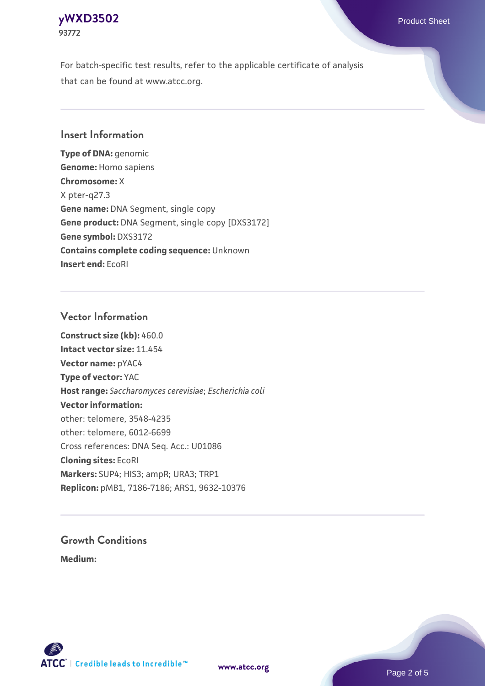### **[yWXD3502](https://www.atcc.org/products/93772)** Product Sheet **93772**

For batch-specific test results, refer to the applicable certificate of analysis that can be found at www.atcc.org.

## **Insert Information**

**Type of DNA:** genomic **Genome:** Homo sapiens **Chromosome:** X X pter-q27.3 **Gene name:** DNA Segment, single copy **Gene product:** DNA Segment, single copy [DXS3172] **Gene symbol:** DXS3172 **Contains complete coding sequence:** Unknown **Insert end:** EcoRI

## **Vector Information**

**Construct size (kb):** 460.0 **Intact vector size:** 11.454 **Vector name:** pYAC4 **Type of vector:** YAC **Host range:** *Saccharomyces cerevisiae*; *Escherichia coli* **Vector information:** other: telomere, 3548-4235 other: telomere, 6012-6699 Cross references: DNA Seq. Acc.: U01086 **Cloning sites:** EcoRI **Markers:** SUP4; HIS3; ampR; URA3; TRP1 **Replicon:** pMB1, 7186-7186; ARS1, 9632-10376

# **Growth Conditions**

**Medium:** 



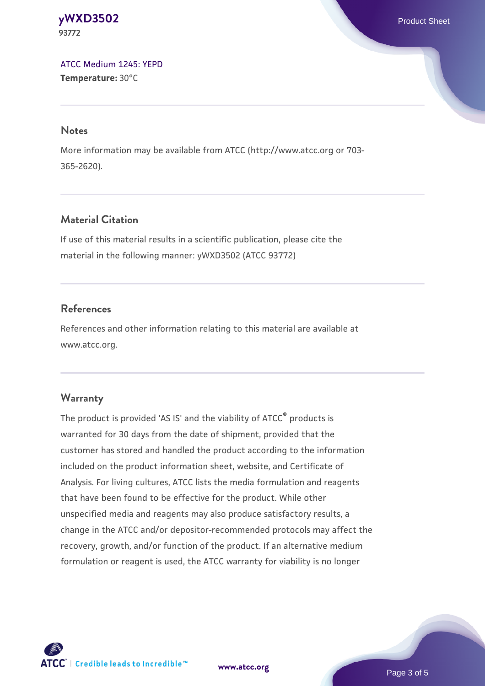#### **[yWXD3502](https://www.atcc.org/products/93772)** Product Sheet **93772**

[ATCC Medium 1245: YEPD](https://www.atcc.org/-/media/product-assets/documents/microbial-media-formulations/1/2/4/5/atcc-medium-1245.pdf?rev=705ca55d1b6f490a808a965d5c072196) **Temperature:** 30°C

#### **Notes**

More information may be available from ATCC (http://www.atcc.org or 703- 365-2620).

# **Material Citation**

If use of this material results in a scientific publication, please cite the material in the following manner: yWXD3502 (ATCC 93772)

# **References**

References and other information relating to this material are available at www.atcc.org.

# **Warranty**

The product is provided 'AS IS' and the viability of ATCC® products is warranted for 30 days from the date of shipment, provided that the customer has stored and handled the product according to the information included on the product information sheet, website, and Certificate of Analysis. For living cultures, ATCC lists the media formulation and reagents that have been found to be effective for the product. While other unspecified media and reagents may also produce satisfactory results, a change in the ATCC and/or depositor-recommended protocols may affect the recovery, growth, and/or function of the product. If an alternative medium formulation or reagent is used, the ATCC warranty for viability is no longer



**[www.atcc.org](http://www.atcc.org)**

Page 3 of 5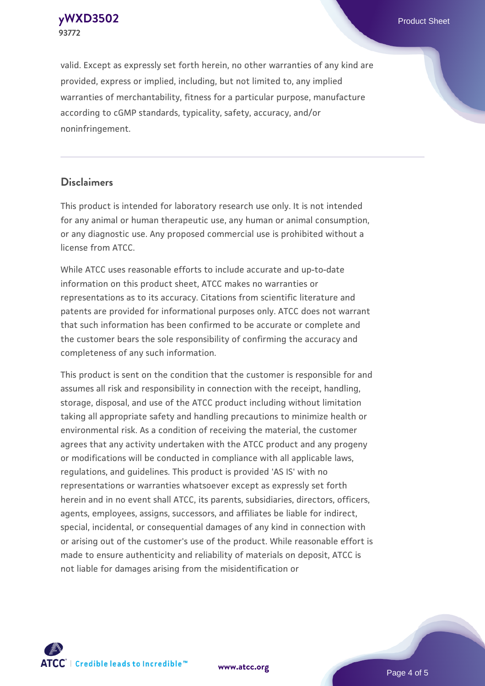**[yWXD3502](https://www.atcc.org/products/93772)** Product Sheet **93772**

valid. Except as expressly set forth herein, no other warranties of any kind are provided, express or implied, including, but not limited to, any implied warranties of merchantability, fitness for a particular purpose, manufacture according to cGMP standards, typicality, safety, accuracy, and/or noninfringement.

#### **Disclaimers**

This product is intended for laboratory research use only. It is not intended for any animal or human therapeutic use, any human or animal consumption, or any diagnostic use. Any proposed commercial use is prohibited without a license from ATCC.

While ATCC uses reasonable efforts to include accurate and up-to-date information on this product sheet, ATCC makes no warranties or representations as to its accuracy. Citations from scientific literature and patents are provided for informational purposes only. ATCC does not warrant that such information has been confirmed to be accurate or complete and the customer bears the sole responsibility of confirming the accuracy and completeness of any such information.

This product is sent on the condition that the customer is responsible for and assumes all risk and responsibility in connection with the receipt, handling, storage, disposal, and use of the ATCC product including without limitation taking all appropriate safety and handling precautions to minimize health or environmental risk. As a condition of receiving the material, the customer agrees that any activity undertaken with the ATCC product and any progeny or modifications will be conducted in compliance with all applicable laws, regulations, and guidelines. This product is provided 'AS IS' with no representations or warranties whatsoever except as expressly set forth herein and in no event shall ATCC, its parents, subsidiaries, directors, officers, agents, employees, assigns, successors, and affiliates be liable for indirect, special, incidental, or consequential damages of any kind in connection with or arising out of the customer's use of the product. While reasonable effort is made to ensure authenticity and reliability of materials on deposit, ATCC is not liable for damages arising from the misidentification or



**[www.atcc.org](http://www.atcc.org)**

Page 4 of 5